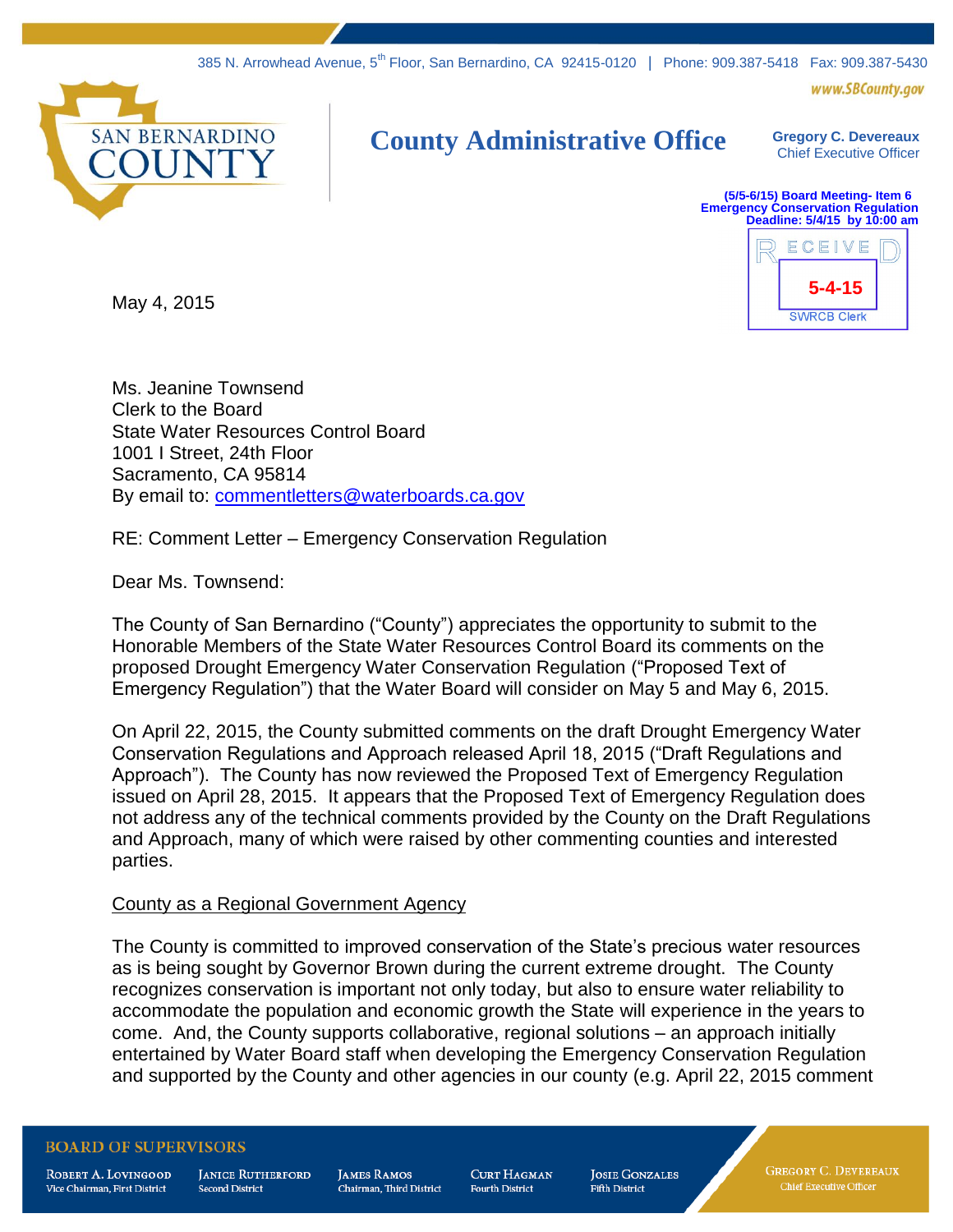www.SBCounty.gov



## **County Administrative Office Gregory C. Devereaux**

Chief Executive Officer

**(5/5-6/15) Board Meeting- Item 6 Emergency Conservation Regulation Deadline: 5/4/15 by 10:00 am**



May 4, 2015

Ms. Jeanine Townsend Clerk to the Board State Water Resources Control Board 1001 I Street, 24th Floor Sacramento, CA 95814 By email to: [commentletters@waterboards.ca.gov](mailto:commentletters@waterboards.ca.gov)

RE: Comment Letter – Emergency Conservation Regulation

Dear Ms. Townsend:

The County of San Bernardino ("County") appreciates the opportunity to submit to the Honorable Members of the State Water Resources Control Board its comments on the proposed Drought Emergency Water Conservation Regulation ("Proposed Text of Emergency Regulation") that the Water Board will consider on May 5 and May 6, 2015.

On April 22, 2015, the County submitted comments on the draft Drought Emergency Water Conservation Regulations and Approach released April 18, 2015 ("Draft Regulations and Approach"). The County has now reviewed the Proposed Text of Emergency Regulation issued on April 28, 2015. It appears that the Proposed Text of Emergency Regulation does not address any of the technical comments provided by the County on the Draft Regulations and Approach, many of which were raised by other commenting counties and interested parties.

## County as a Regional Government Agency

The County is committed to improved conservation of the State's precious water resources as is being sought by Governor Brown during the current extreme drought. The County recognizes conservation is important not only today, but also to ensure water reliability to accommodate the population and economic growth the State will experience in the years to come. And, the County supports collaborative, regional solutions – an approach initially entertained by Water Board staff when developing the Emergency Conservation Regulation and supported by the County and other agencies in our county (e.g. April 22, 2015 comment

## **BOARD OF SUPERVISORS**

ROBERT A. LOVINGOOD Vice Chairman, First District

**JANICE RUTHERFORD Second District** 

**JAMES RAMOS** Chairman. Third District **CURT HAGMAN Fourth District** 

**JOSIE GONZALES Fifth District** 

**GREGORY C. DEVEREAUX** Chief Executive Officer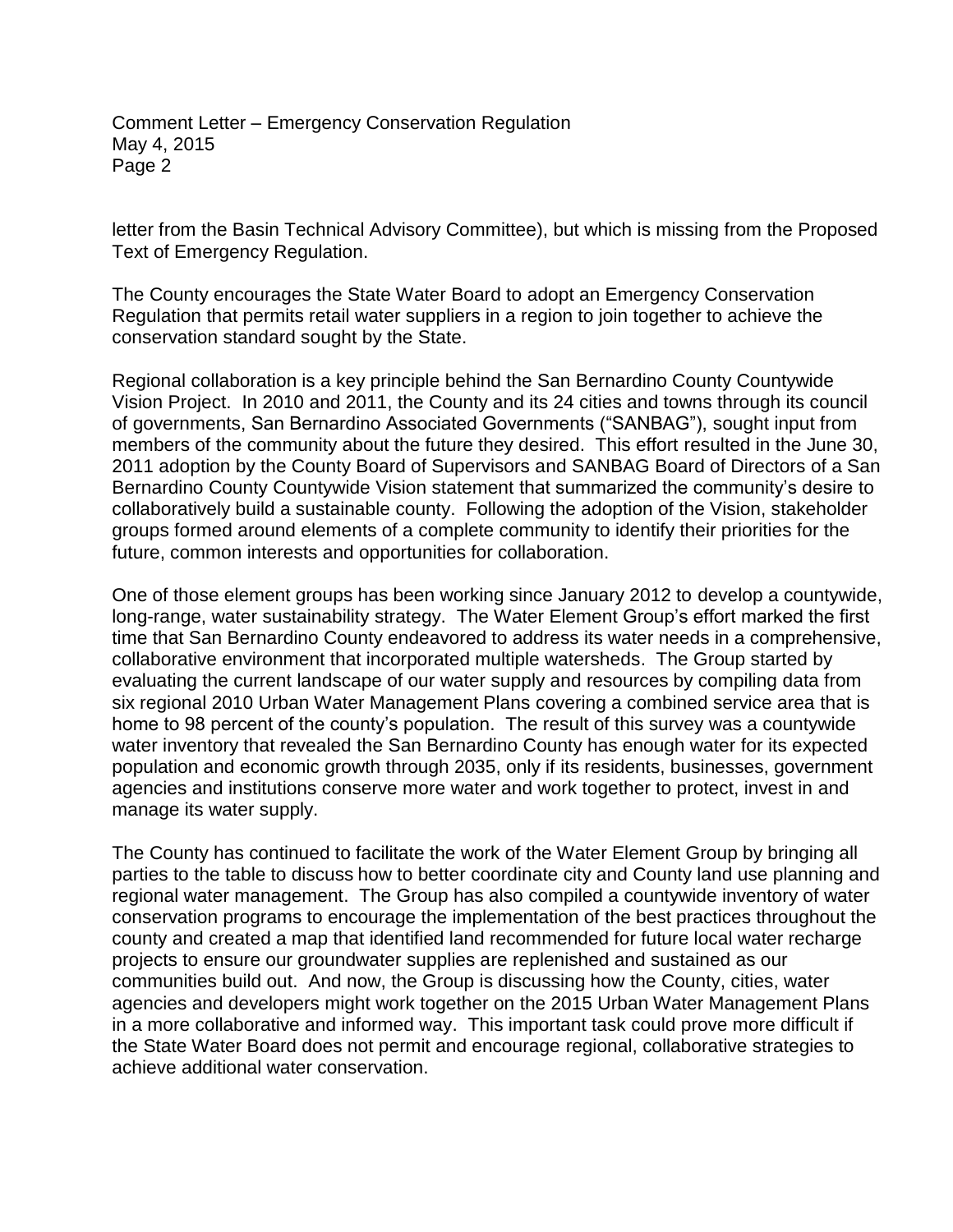letter from the Basin Technical Advisory Committee), but which is missing from the Proposed Text of Emergency Regulation.

The County encourages the State Water Board to adopt an Emergency Conservation Regulation that permits retail water suppliers in a region to join together to achieve the conservation standard sought by the State.

Regional collaboration is a key principle behind the San Bernardino County Countywide Vision Project. In 2010 and 2011, the County and its 24 cities and towns through its council of governments, San Bernardino Associated Governments ("SANBAG"), sought input from members of the community about the future they desired. This effort resulted in the June 30, 2011 adoption by the County Board of Supervisors and SANBAG Board of Directors of a San Bernardino County Countywide Vision statement that summarized the community's desire to collaboratively build a sustainable county. Following the adoption of the Vision, stakeholder groups formed around elements of a complete community to identify their priorities for the future, common interests and opportunities for collaboration.

One of those element groups has been working since January 2012 to develop a countywide, long-range, water sustainability strategy. The Water Element Group's effort marked the first time that San Bernardino County endeavored to address its water needs in a comprehensive, collaborative environment that incorporated multiple watersheds. The Group started by evaluating the current landscape of our water supply and resources by compiling data from six regional 2010 Urban Water Management Plans covering a combined service area that is home to 98 percent of the county's population. The result of this survey was a countywide water inventory that revealed the San Bernardino County has enough water for its expected population and economic growth through 2035, only if its residents, businesses, government agencies and institutions conserve more water and work together to protect, invest in and manage its water supply.

The County has continued to facilitate the work of the Water Element Group by bringing all parties to the table to discuss how to better coordinate city and County land use planning and regional water management. The Group has also compiled a countywide inventory of water conservation programs to encourage the implementation of the best practices throughout the county and created a map that identified land recommended for future local water recharge projects to ensure our groundwater supplies are replenished and sustained as our communities build out. And now, the Group is discussing how the County, cities, water agencies and developers might work together on the 2015 Urban Water Management Plans in a more collaborative and informed way. This important task could prove more difficult if the State Water Board does not permit and encourage regional, collaborative strategies to achieve additional water conservation.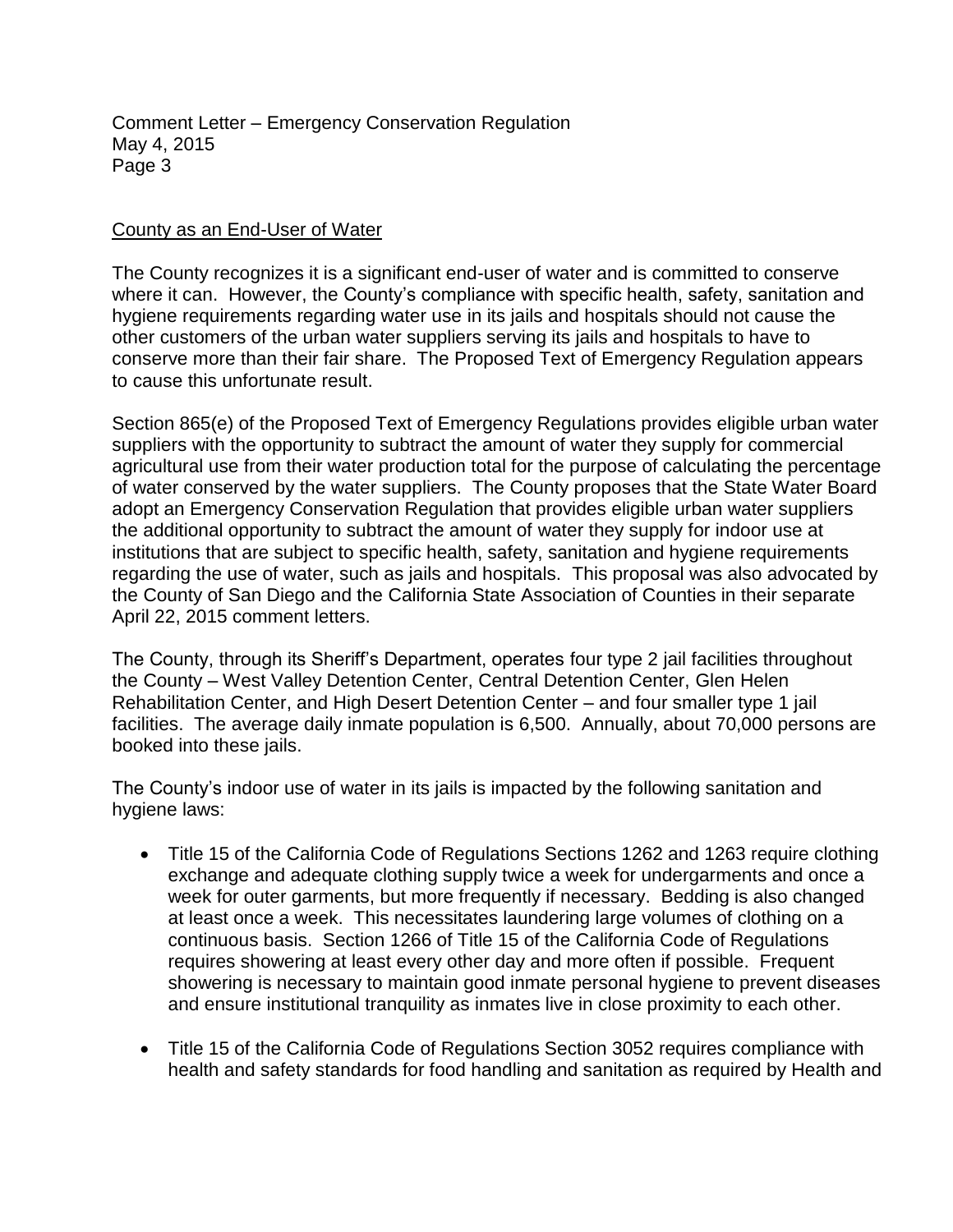## County as an End-User of Water

The County recognizes it is a significant end-user of water and is committed to conserve where it can. However, the County's compliance with specific health, safety, sanitation and hygiene requirements regarding water use in its jails and hospitals should not cause the other customers of the urban water suppliers serving its jails and hospitals to have to conserve more than their fair share. The Proposed Text of Emergency Regulation appears to cause this unfortunate result.

Section 865(e) of the Proposed Text of Emergency Regulations provides eligible urban water suppliers with the opportunity to subtract the amount of water they supply for commercial agricultural use from their water production total for the purpose of calculating the percentage of water conserved by the water suppliers. The County proposes that the State Water Board adopt an Emergency Conservation Regulation that provides eligible urban water suppliers the additional opportunity to subtract the amount of water they supply for indoor use at institutions that are subject to specific health, safety, sanitation and hygiene requirements regarding the use of water, such as jails and hospitals. This proposal was also advocated by the County of San Diego and the California State Association of Counties in their separate April 22, 2015 comment letters.

The County, through its Sheriff's Department, operates four type 2 jail facilities throughout the County – West Valley Detention Center, Central Detention Center, Glen Helen Rehabilitation Center, and High Desert Detention Center – and four smaller type 1 jail facilities. The average daily inmate population is 6,500. Annually, about 70,000 persons are booked into these jails.

The County's indoor use of water in its jails is impacted by the following sanitation and hygiene laws:

- Title 15 of the California Code of Regulations Sections 1262 and 1263 require clothing exchange and adequate clothing supply twice a week for undergarments and once a week for outer garments, but more frequently if necessary. Bedding is also changed at least once a week. This necessitates laundering large volumes of clothing on a continuous basis. Section 1266 of Title 15 of the California Code of Regulations requires showering at least every other day and more often if possible. Frequent showering is necessary to maintain good inmate personal hygiene to prevent diseases and ensure institutional tranquility as inmates live in close proximity to each other.
- Title 15 of the California Code of Regulations Section 3052 requires compliance with health and safety standards for food handling and sanitation as required by Health and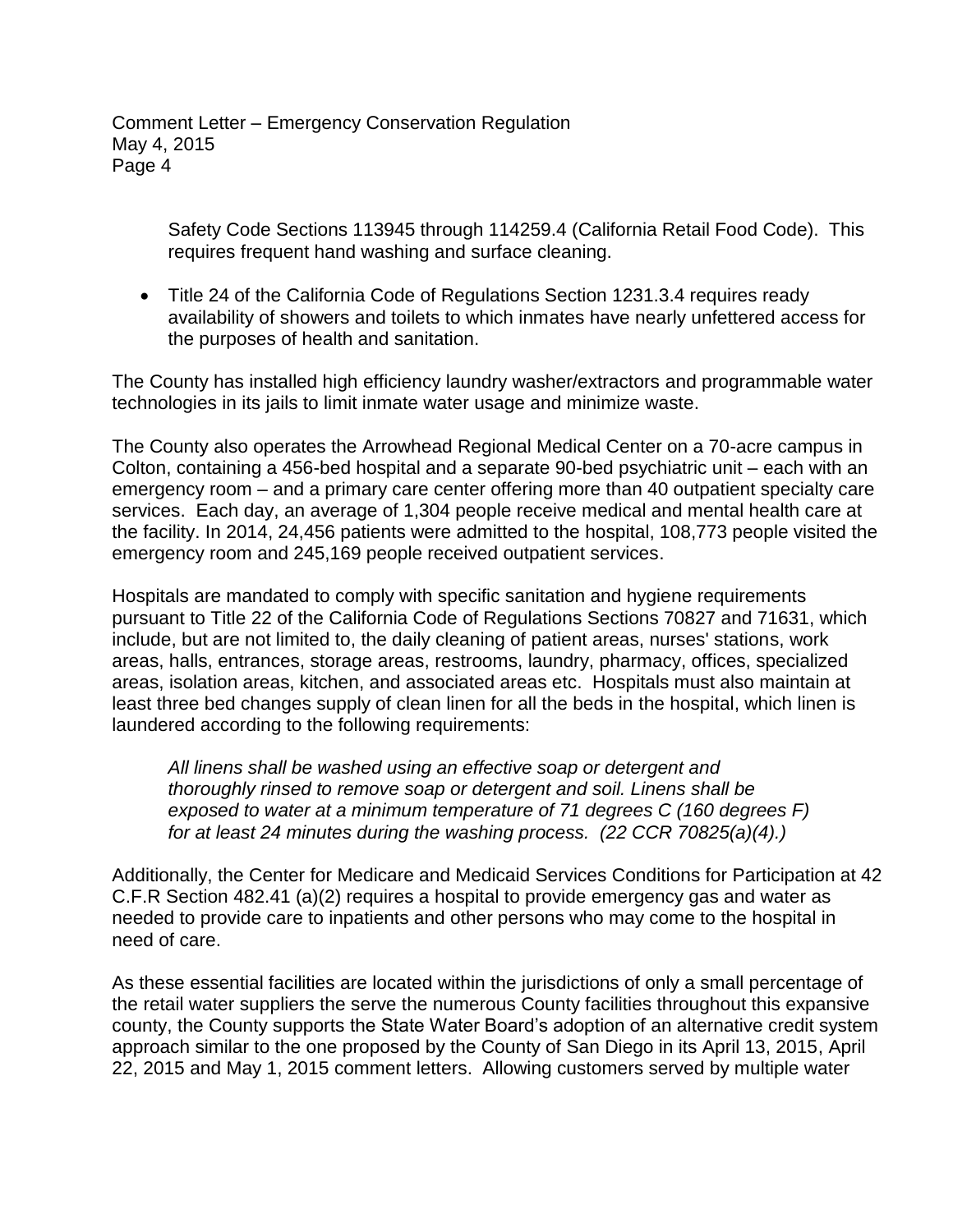> Safety Code Sections 113945 through 114259.4 (California Retail Food Code). This requires frequent hand washing and surface cleaning.

 Title 24 of the California Code of Regulations Section 1231.3.4 requires ready availability of showers and toilets to which inmates have nearly unfettered access for the purposes of health and sanitation.

The County has installed high efficiency laundry washer/extractors and programmable water technologies in its jails to limit inmate water usage and minimize waste.

The County also operates the Arrowhead Regional Medical Center on a 70-acre campus in Colton, containing a 456-bed hospital and a separate 90-bed psychiatric unit – each with an emergency room – and a primary care center offering more than 40 outpatient specialty care services. Each day, an average of 1,304 people receive medical and mental health care at the facility. In 2014, 24,456 patients were admitted to the hospital, 108,773 people visited the emergency room and 245,169 people received outpatient services.

Hospitals are mandated to comply with specific sanitation and hygiene requirements pursuant to Title 22 of the California Code of Regulations Sections 70827 and 71631, which include, but are not limited to, the daily cleaning of patient areas, nurses' stations, work areas, halls, entrances, storage areas, restrooms, laundry, pharmacy, offices, specialized areas, isolation areas, kitchen, and associated areas etc. Hospitals must also maintain at least three bed changes supply of clean linen for all the beds in the hospital, which linen is laundered according to the following requirements:

*All linens shall be washed using an effective soap or detergent and thoroughly rinsed to remove soap or detergent and soil. Linens shall be exposed to water at a minimum temperature of 71 degrees C (160 degrees F) for at least 24 minutes during the washing process. (22 CCR 70825(a)(4).)*

Additionally, the Center for Medicare and Medicaid Services Conditions for Participation at 42 C.F.R Section 482.41 (a)(2) requires a hospital to provide emergency gas and water as needed to provide care to inpatients and other persons who may come to the hospital in need of care.

As these essential facilities are located within the jurisdictions of only a small percentage of the retail water suppliers the serve the numerous County facilities throughout this expansive county, the County supports the State Water Board's adoption of an alternative credit system approach similar to the one proposed by the County of San Diego in its April 13, 2015, April 22, 2015 and May 1, 2015 comment letters. Allowing customers served by multiple water